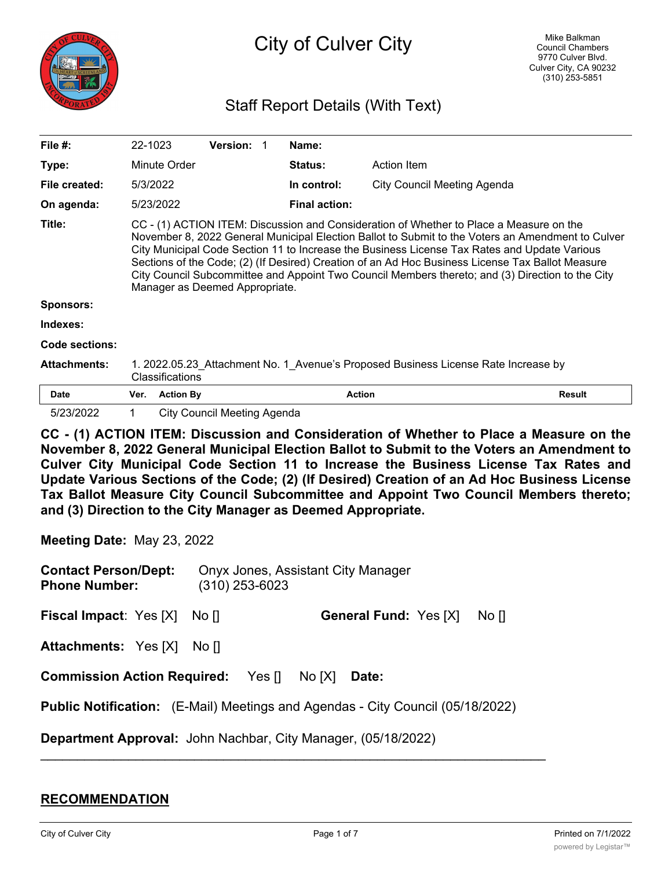

# City of Culver City

# Staff Report Details (With Text)

| File $#$ :          | 22-1023                                                                                                                                                                                                                                                                                                                                                                                                                                                                                                                                |                  | <b>Version:</b>             | Name:                |                             |               |  |  |
|---------------------|----------------------------------------------------------------------------------------------------------------------------------------------------------------------------------------------------------------------------------------------------------------------------------------------------------------------------------------------------------------------------------------------------------------------------------------------------------------------------------------------------------------------------------------|------------------|-----------------------------|----------------------|-----------------------------|---------------|--|--|
| Type:               |                                                                                                                                                                                                                                                                                                                                                                                                                                                                                                                                        | Minute Order     |                             | <b>Status:</b>       | Action Item                 |               |  |  |
| File created:       | 5/3/2022                                                                                                                                                                                                                                                                                                                                                                                                                                                                                                                               |                  |                             | In control:          | City Council Meeting Agenda |               |  |  |
| On agenda:          |                                                                                                                                                                                                                                                                                                                                                                                                                                                                                                                                        | 5/23/2022        |                             | <b>Final action:</b> |                             |               |  |  |
| Title:              | CC - (1) ACTION ITEM: Discussion and Consideration of Whether to Place a Measure on the<br>November 8, 2022 General Municipal Election Ballot to Submit to the Voters an Amendment to Culver<br>City Municipal Code Section 11 to Increase the Business License Tax Rates and Update Various<br>Sections of the Code; (2) (If Desired) Creation of an Ad Hoc Business License Tax Ballot Measure<br>City Council Subcommittee and Appoint Two Council Members thereto; and (3) Direction to the City<br>Manager as Deemed Appropriate. |                  |                             |                      |                             |               |  |  |
| <b>Sponsors:</b>    |                                                                                                                                                                                                                                                                                                                                                                                                                                                                                                                                        |                  |                             |                      |                             |               |  |  |
| Indexes:            |                                                                                                                                                                                                                                                                                                                                                                                                                                                                                                                                        |                  |                             |                      |                             |               |  |  |
| Code sections:      |                                                                                                                                                                                                                                                                                                                                                                                                                                                                                                                                        |                  |                             |                      |                             |               |  |  |
| <b>Attachments:</b> | 1. 2022.05.23 Attachment No. 1 Avenue's Proposed Business License Rate Increase by<br><b>Classifications</b>                                                                                                                                                                                                                                                                                                                                                                                                                           |                  |                             |                      |                             |               |  |  |
| <b>Date</b>         | Ver.                                                                                                                                                                                                                                                                                                                                                                                                                                                                                                                                   | <b>Action By</b> |                             | <b>Action</b>        |                             | <b>Result</b> |  |  |
| 5/23/2022           | 1                                                                                                                                                                                                                                                                                                                                                                                                                                                                                                                                      |                  | City Council Meeting Agenda |                      |                             |               |  |  |

**CC - (1) ACTION ITEM: Discussion and Consideration of Whether to Place a Measure on the November 8, 2022 General Municipal Election Ballot to Submit to the Voters an Amendment to Culver City Municipal Code Section 11 to Increase the Business License Tax Rates and Update Various Sections of the Code; (2) (If Desired) Creation of an Ad Hoc Business License Tax Ballot Measure City Council Subcommittee and Appoint Two Council Members thereto; and (3) Direction to the City Manager as Deemed Appropriate.**

**Meeting Date:** May 23, 2022

| <b>Contact Person/Dept:</b><br><b>Phone Number:</b>                                   | <b>Onyx Jones, Assistant City Manager</b><br>$(310)$ 253-6023        |  |  |  |  |  |  |  |
|---------------------------------------------------------------------------------------|----------------------------------------------------------------------|--|--|--|--|--|--|--|
| <b>Fiscal Impact: Yes [X]</b>                                                         | <b>General Fund: Yes [X]</b><br>No []<br>$N$ o $\prod$               |  |  |  |  |  |  |  |
| <b>Attachments: Yes [X]</b>                                                           | No II                                                                |  |  |  |  |  |  |  |
| <b>Commission Action Required:</b> Yes []<br>No [X]<br>Date:                          |                                                                      |  |  |  |  |  |  |  |
| <b>Public Notification:</b> (E-Mail) Meetings and Agendas - City Council (05/18/2022) |                                                                      |  |  |  |  |  |  |  |
|                                                                                       | <b>Department Approval:</b> John Nachbar, City Manager, (05/18/2022) |  |  |  |  |  |  |  |

# **RECOMMENDATION**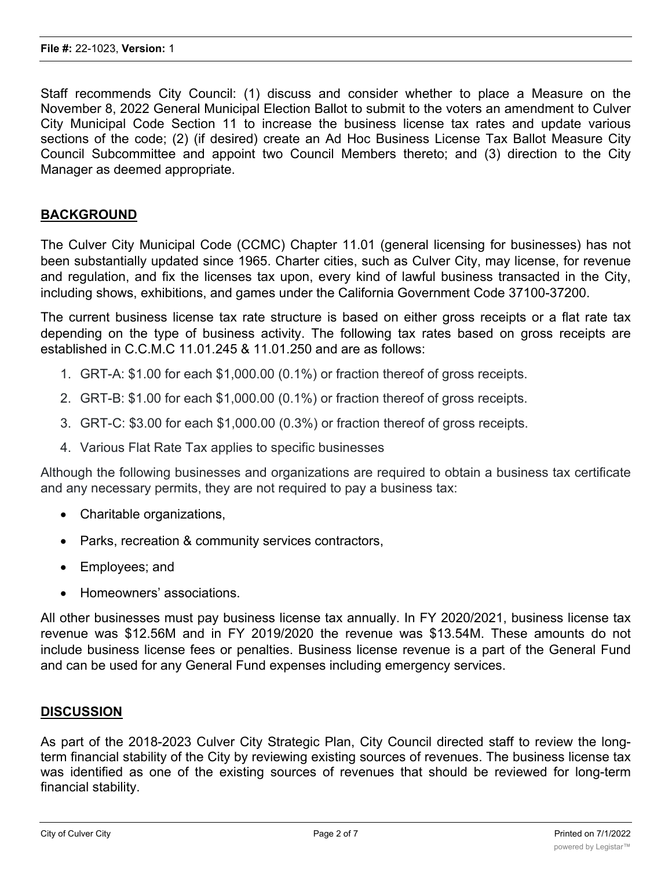Staff recommends City Council: (1) discuss and consider whether to place a Measure on the November 8, 2022 General Municipal Election Ballot to submit to the voters an amendment to Culver City Municipal Code Section 11 to increase the business license tax rates and update various sections of the code; (2) (if desired) create an Ad Hoc Business License Tax Ballot Measure City Council Subcommittee and appoint two Council Members thereto; and (3) direction to the City Manager as deemed appropriate.

#### **BACKGROUND**

The Culver City Municipal Code (CCMC) Chapter 11.01 (general licensing for businesses) has not been substantially updated since 1965. Charter cities, such as Culver City, may license, for revenue and regulation, and fix the licenses tax upon, every kind of lawful business transacted in the City, including shows, exhibitions, and games under the California Government Code 37100-37200.

The current business license tax rate structure is based on either gross receipts or a flat rate tax depending on the type of business activity. The following tax rates based on gross receipts are established in C.C.M.C 11.01.245 & 11.01.250 and are as follows:

- 1. GRT-A: \$1.00 for each \$1,000.00 (0.1%) or fraction thereof of gross receipts.
- 2. GRT-B: \$1.00 for each \$1,000.00 (0.1%) or fraction thereof of gross receipts.
- 3. GRT-C: \$3.00 for each \$1,000.00 (0.3%) or fraction thereof of gross receipts.
- 4. Various Flat Rate Tax applies to specific businesses

Although the following businesses and organizations are required to obtain a business tax certificate and any necessary permits, they are not required to pay a business tax:

- · Charitable organizations,
- Parks, recreation & community services contractors,
- · Employees; and
- · Homeowners' associations.

All other businesses must pay business license tax annually. In FY 2020/2021, business license tax revenue was \$12.56M and in FY 2019/2020 the revenue was \$13.54M. These amounts do not include business license fees or penalties. Business license revenue is a part of the General Fund and can be used for any General Fund expenses including emergency services.

#### **DISCUSSION**

As part of the 2018-2023 Culver City Strategic Plan, City Council directed staff to review the longterm financial stability of the City by reviewing existing sources of revenues. The business license tax was identified as one of the existing sources of revenues that should be reviewed for long-term financial stability.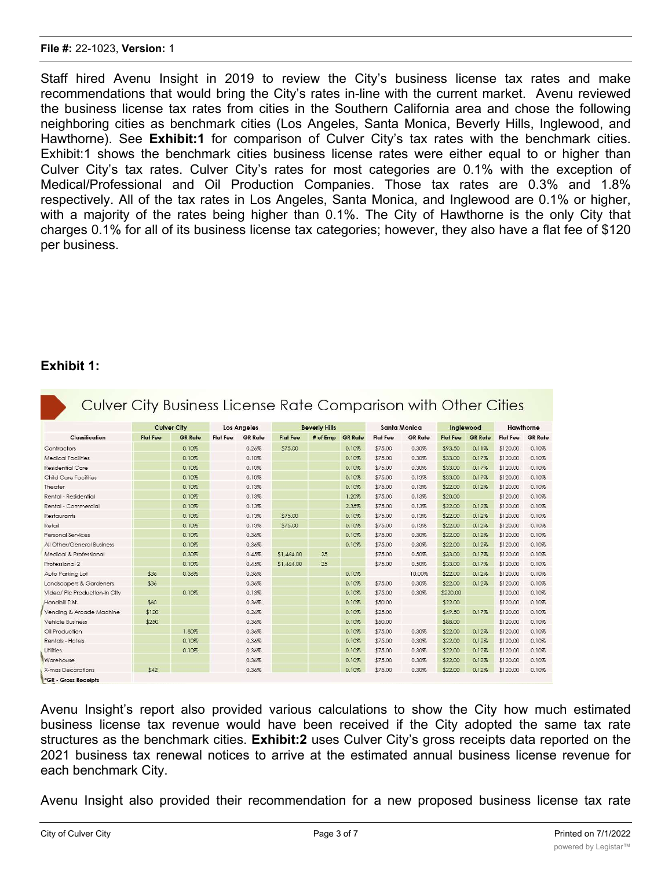#### **File #:** 22-1023, **Version:** 1

Staff hired Avenu Insight in 2019 to review the City's business license tax rates and make recommendations that would bring the City's rates in-line with the current market. Avenu reviewed the business license tax rates from cities in the Southern California area and chose the following neighboring cities as benchmark cities (Los Angeles, Santa Monica, Beverly Hills, Inglewood, and Hawthorne). See **Exhibit:1** for comparison of Culver City's tax rates with the benchmark cities. Exhibit:1 shows the benchmark cities business license rates were either equal to or higher than Culver City's tax rates. Culver City's rates for most categories are 0.1% with the exception of Medical/Professional and Oil Production Companies. Those tax rates are 0.3% and 1.8% respectively. All of the tax rates in Los Angeles, Santa Monica, and Inglewood are 0.1% or higher, with a majority of the rates being higher than 0.1%. The City of Hawthorne is the only City that charges 0.1% for all of its business license tax categories; however, they also have a flat fee of \$120 per business.

# **Exhibit 1:**

|                               |                    |                |                    |                | <b>Culver City Business License Rate Comparison with Other Cities</b> |          |                     |                 |                |                 |                |                 |                |
|-------------------------------|--------------------|----------------|--------------------|----------------|-----------------------------------------------------------------------|----------|---------------------|-----------------|----------------|-----------------|----------------|-----------------|----------------|
|                               | <b>Culver City</b> |                | <b>Los Angeles</b> |                | <b>Beverly Hills</b>                                                  |          | <b>Santa Monica</b> |                 | Inglewood      |                 | Hawthorne      |                 |                |
| Classification                | <b>Flat Fee</b>    | <b>GR Rate</b> | <b>Flat Fee</b>    | <b>GR Rate</b> | <b>Flat Fee</b>                                                       | # of Emp | <b>GR Rate</b>      | <b>Flat Fee</b> | <b>GR Rate</b> | <b>Flat Fee</b> | <b>GR Rate</b> | <b>Flat Fee</b> | <b>GR Rate</b> |
| Contractors                   |                    | 0.10%          |                    | 0.26%          | \$75.00                                                               |          | 0.10%               | \$75.00         | 0.30%          | \$93.50         | 0.11%          | \$120.00        | 0.10%          |
| <b>Medical Facilities</b>     |                    | 0.10%          |                    | 0.10%          |                                                                       |          | 0.10%               | \$75.00         | 0.30%          | \$33.00         | 0.17%          | \$120.00        | 0.10%          |
| <b>Residential Care</b>       |                    | 0.10%          |                    | 0.10%          |                                                                       |          | 0.10%               | \$75.00         | 0.30%          | \$33.00         | 0.17%          | \$120.00        | 0.10%          |
| <b>Child Care Facilities</b>  |                    | 0.10%          |                    | 0.10%          |                                                                       |          | 0.10%               | \$75.00         | 0.13%          | \$33.00         | 0.17%          | \$120.00        | 0.10%          |
| Theater                       |                    | 0.10%          |                    | 0.13%          |                                                                       |          | 0.10%               | \$75.00         | 0.13%          | \$22.00         | 0.12%          | \$120.00        | 0.10%          |
| Rental - Residential          |                    | 0.10%          |                    | 0.13%          |                                                                       |          | 1.20%               | \$75.00         | 0.13%          | \$20.00         |                | \$120.00        | 0.10%          |
| Rental - Commercial           |                    | 0.10%          |                    | 0.13%          |                                                                       |          | 2.35%               | \$75.00         | 0.13%          | \$22.00         | 0.12%          | \$120.00        | 0.10%          |
| <b>Restaurants</b>            |                    | 0.10%          |                    | 0.13%          | \$75.00                                                               |          | 0.10%               | \$75.00         | 0.13%          | \$22.00         | 0.12%          | \$120.00        | 0.10%          |
| Retail                        |                    | 0.10%          |                    | 0.13%          | \$75.00                                                               |          | 0.10%               | \$75.00         | 0.13%          | \$22.00         | 0.12%          | \$120.00        | 0.10%          |
| Personal Services             |                    | 0.10%          |                    | 0.36%          |                                                                       |          | 0.10%               | \$75,00         | 0.30%          | \$22.00         | 0.12%          | \$120.00        | 0.10%          |
| All Other/General Business    |                    | 0.10%          |                    | 0.36%          |                                                                       |          | 0.10%               | \$75.00         | 0.30%          | \$22.00         | 0.12%          | \$120.00        | 0.10%          |
| Medical & Professional        |                    | 0.30%          |                    | 0.45%          | \$1,464.00                                                            | 25       |                     | \$75,00         | 0.50%          | \$33.00         | 0.17%          | \$120,00        | 0.10%          |
| Professional 2                |                    | 0.10%          |                    | 0.45%          | \$1,464.00                                                            | 25       |                     | \$75.00         | 0.50%          | \$33.00         | 0.17%          | \$120.00        | 0.10%          |
| Auto Parking Lot              | \$36               | 0.36%          |                    | 0.36%          |                                                                       |          | 0.10%               |                 | 10.00%         | \$22.00         | 0.12%          | \$120.00        | 0.10%          |
| Landscapers & Gardeners       | \$36               |                |                    | 0.36%          |                                                                       |          | 0.10%               | \$75.00         | 0.30%          | \$22.00         | 0.12%          | \$120.00        | 0.10%          |
| Video/ Pic Production-in City |                    | 0.10%          |                    | 0.13%          |                                                                       |          | 0.10%               | \$75.00         | 0.30%          | \$220.00        |                | \$120.00        | 0.10%          |
| Handbill Dist.                | \$60               |                |                    | 0.36%          |                                                                       |          | 0.10%               | \$50.00         |                | \$22.00         |                | \$120.00        | 0.10%          |
| Vending & Arcade Machine      | \$120              |                |                    | 0.26%          |                                                                       |          | 0.10%               | \$25.00         |                | \$49.50         | 0.17%          | \$120.00        | 0.10%          |
| Vehicle Business              | \$250              |                |                    | 0.36%          |                                                                       |          | 0.10%               | \$50.00         |                | \$88.00         |                | \$120.00        | 0.10%          |
| Oil Production                |                    | 1.80%          |                    | 0.36%          |                                                                       |          | 0.10%               | \$75.00         | 0.30%          | \$22.00         | 0.12%          | \$120.00        | 0.10%          |
| Rentals - Hotels              |                    | 0.10%          |                    | 0.36%          |                                                                       |          | 0.10%               | \$75.00         | 0.30%          | \$22.00         | 0.12%          | \$120.00        | 0.10%          |
| <b>Utilities</b>              |                    | 0.10%          |                    | 0.36%          |                                                                       |          | 0.10%               | \$75.00         | 0.30%          | \$22.00         | 0.12%          | \$120.00        | 0.10%          |
| Warehouse                     |                    |                |                    | 0.36%          |                                                                       |          | 0.10%               | \$75.00         | 0.30%          | \$22.00         | 0.12%          | \$120.00        | 0.10%          |
| X-mas Decorations             | \$42               |                |                    | 0.36%          |                                                                       |          | 0.10%               | \$75.00         | 0.30%          | \$22.00         | 0.12%          | \$120.00        | 0.10%          |

Avenu Insight's report also provided various calculations to show the City how much estimated business license tax revenue would have been received if the City adopted the same tax rate structures as the benchmark cities. **Exhibit:2** uses Culver City's gross receipts data reported on the 2021 business tax renewal notices to arrive at the estimated annual business license revenue for each benchmark City.

Avenu Insight also provided their recommendation for a new proposed business license tax rate structure (see **Attachment No.1**). They proposed ten different business license tax rates for gross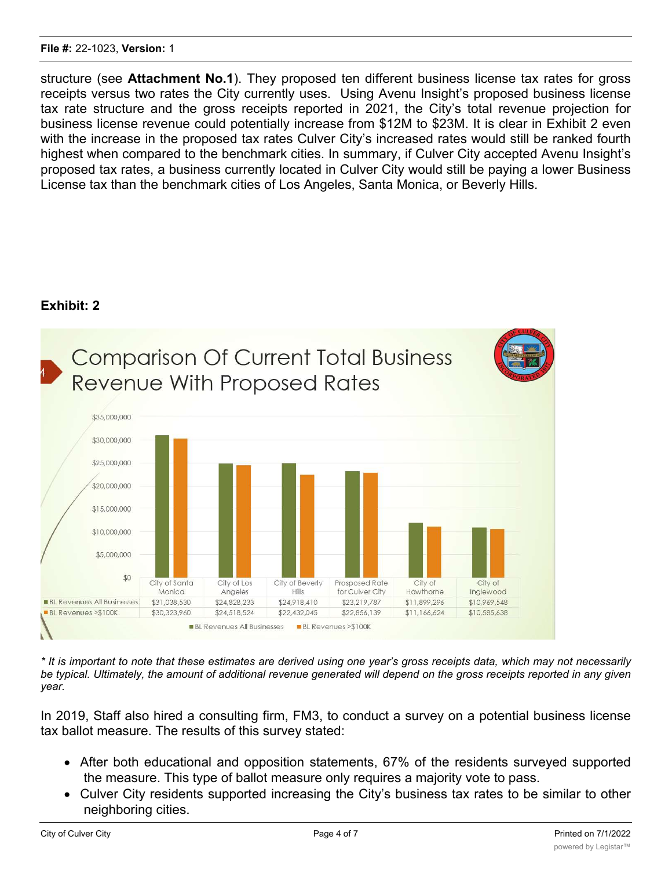structure (see **Attachment No.1**). They proposed ten different business license tax rates for gross receipts versus two rates the City currently uses. Using Avenu Insight's proposed business license tax rate structure and the gross receipts reported in 2021, the City's total revenue projection for business license revenue could potentially increase from \$12M to \$23M. It is clear in Exhibit 2 even with the increase in the proposed tax rates Culver City's increased rates would still be ranked fourth highest when compared to the benchmark cities. In summary, if Culver City accepted Avenu Insight's proposed tax rates, a business currently located in Culver City would still be paying a lower Business License tax than the benchmark cities of Los Angeles, Santa Monica, or Beverly Hills.

# **Exhibit: 2**



\* It is important to note that these estimates are derived using one year's gross receipts data, which may not necessarily be typical. Ultimately, the amount of additional revenue generated will depend on the gross receipts reported in any given *year.*

In 2019, Staff also hired a consulting firm, FM3, to conduct a survey on a potential business license tax ballot measure. The results of this survey stated:

- After both educational and opposition statements, 67% of the residents surveyed supported the measure. This type of ballot measure only requires a majority vote to pass.
- · Culver City residents supported increasing the City's business tax rates to be similar to other neighboring cities.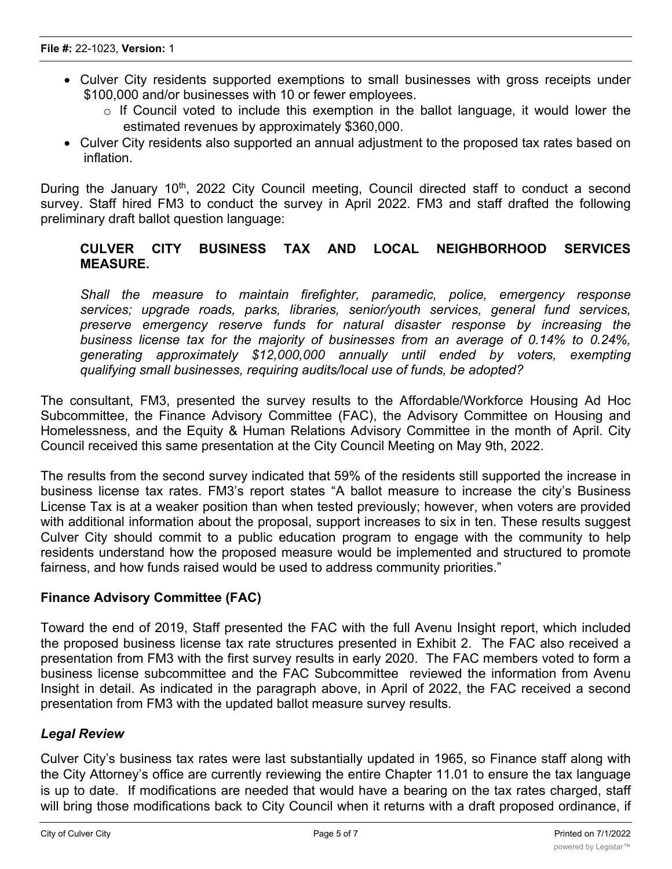- · Culver City residents supported exemptions to small businesses with gross receipts under \$100,000 and/or businesses with 10 or fewer employees.
	- $\circ$  If Council voted to include this exemption in the ballot language, it would lower the estimated revenues by approximately \$360,000.
- · Culver City residents also supported an annual adjustment to the proposed tax rates based on inflation.

During the January 10<sup>th</sup>, 2022 City Council meeting, Council directed staff to conduct a second survey. Staff hired FM3 to conduct the survey in April 2022. FM3 and staff drafted the following preliminary draft ballot question language:

# **CULVER CITY BUSINESS TAX AND LOCAL NEIGHBORHOOD SERVICES MEASURE.**

*Shall the measure to maintain firefighter, paramedic, police, emergency response services; upgrade roads, parks, libraries, senior/youth services, general fund services, preserve emergency reserve funds for natural disaster response by increasing the business license tax for the majority of businesses from an average of 0.14% to 0.24%, generating approximately \$12,000,000 annually until ended by voters, exempting qualifying small businesses, requiring audits/local use of funds, be adopted?*

The consultant, FM3, presented the survey results to the Affordable/Workforce Housing Ad Hoc Subcommittee, the Finance Advisory Committee (FAC), the Advisory Committee on Housing and Homelessness, and the Equity & Human Relations Advisory Committee in the month of April. City Council received this same presentation at the City Council Meeting on May 9th, 2022.

The results from the second survey indicated that 59% of the residents still supported the increase in business license tax rates. FM3's report states "A ballot measure to increase the city's Business License Tax is at a weaker position than when tested previously; however, when voters are provided with additional information about the proposal, support increases to six in ten. These results suggest Culver City should commit to a public education program to engage with the community to help residents understand how the proposed measure would be implemented and structured to promote fairness, and how funds raised would be used to address community priorities."

# **Finance Advisory Committee (FAC)**

Toward the end of 2019, Staff presented the FAC with the full Avenu Insight report, which included the proposed business license tax rate structures presented in Exhibit 2. The FAC also received a presentation from FM3 with the first survey results in early 2020. The FAC members voted to form a business license subcommittee and the FAC Subcommittee reviewed the information from Avenu Insight in detail. As indicated in the paragraph above, in April of 2022, the FAC received a second presentation from FM3 with the updated ballot measure survey results.

# *Legal Review*

Culver City's business tax rates were last substantially updated in 1965, so Finance staff along with the City Attorney's office are currently reviewing the entire Chapter 11.01 to ensure the tax language is up to date. If modifications are needed that would have a bearing on the tax rates charged, staff will bring those modifications back to City Council when it returns with a draft proposed ordinance, if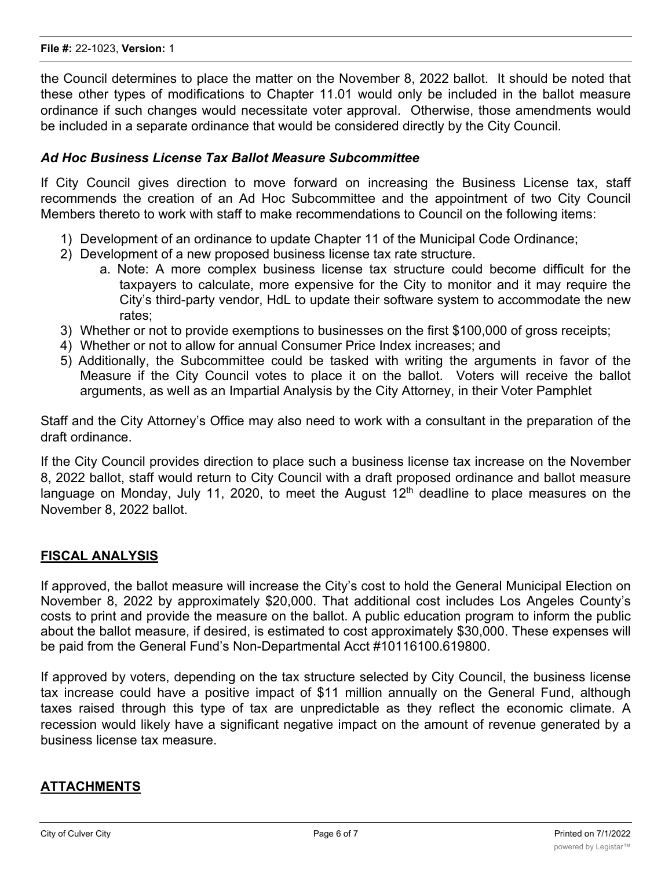the Council determines to place the matter on the November 8, 2022 ballot. It should be noted that these other types of modifications to Chapter 11.01 would only be included in the ballot measure ordinance if such changes would necessitate voter approval. Otherwise, those amendments would be included in a separate ordinance that would be considered directly by the City Council.

### *Ad Hoc Business License Tax Ballot Measure Subcommittee*

If City Council gives direction to move forward on increasing the Business License tax, staff recommends the creation of an Ad Hoc Subcommittee and the appointment of two City Council Members thereto to work with staff to make recommendations to Council on the following items:

- 1) Development of an ordinance to update Chapter 11 of the Municipal Code Ordinance;
- 2) Development of a new proposed business license tax rate structure.
	- a. Note: A more complex business license tax structure could become difficult for the taxpayers to calculate, more expensive for the City to monitor and it may require the City's third-party vendor, HdL to update their software system to accommodate the new rates;
- 3) Whether or not to provide exemptions to businesses on the first \$100,000 of gross receipts;
- 4) Whether or not to allow for annual Consumer Price Index increases; and
- 5) Additionally, the Subcommittee could be tasked with writing the arguments in favor of the Measure if the City Council votes to place it on the ballot. Voters will receive the ballot arguments, as well as an Impartial Analysis by the City Attorney, in their Voter Pamphlet

Staff and the City Attorney's Office may also need to work with a consultant in the preparation of the draft ordinance.

If the City Council provides direction to place such a business license tax increase on the November 8, 2022 ballot, staff would return to City Council with a draft proposed ordinance and ballot measure language on Monday, July 11, 2020, to meet the August  $12<sup>th</sup>$  deadline to place measures on the November 8, 2022 ballot.

# **FISCAL ANALYSIS**

If approved, the ballot measure will increase the City's cost to hold the General Municipal Election on November 8, 2022 by approximately \$20,000. That additional cost includes Los Angeles County's costs to print and provide the measure on the ballot. A public education program to inform the public about the ballot measure, if desired, is estimated to cost approximately \$30,000. These expenses will be paid from the General Fund's Non-Departmental Acct #10116100.619800.

If approved by voters, depending on the tax structure selected by City Council, the business license tax increase could have a positive impact of \$11 million annually on the General Fund, although taxes raised through this type of tax are unpredictable as they reflect the economic climate. A recession would likely have a significant negative impact on the amount of revenue generated by a business license tax measure.

# **ATTACHMENTS**

2022.05.23\_Attachment No. 1\_Avenue's Proposed Business License Rate Increase by